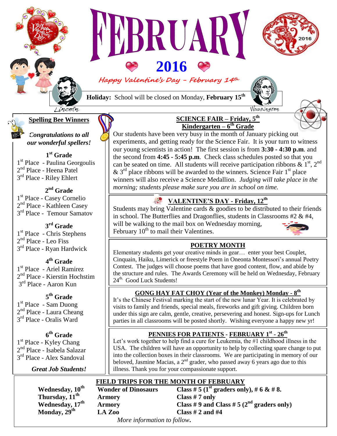

# **2016 Happy Valentine's Day - February <sup>14</sup>th**

**RUAL** 

**Holiday:** School will be closed on Monday, **February 15 th**

 $\overline{\phantom{a}}$ 

Washington



**Kindergarten – 6 th Grade** Our students have been very busy in the month of January picking out experiments, and getting ready for the Science Fair. It is your turn to witness our young scientists in action! The first session is from **3:30 - 4:30 p.m**. and the second from **4:45 - 5:45 p.m**. Check class schedules posted so that you can be seated on time. All students will receive participation ribbons  $\& 1<sup>st</sup>$ ,  $2<sup>nd</sup>$  $\&$  3<sup>rd</sup> place ribbons will be awarded to the winners. Science Fair 1<sup>st</sup> place winners will also receive a Science Medallion. *Judging will take place in the morning; students please make sure you are in school on time.* 

**SCIENCE FAIR – Friday, 5 th**

# **VALENTINE'S DAY - Friday, 12th**

Students may bring Valentine cards  $\&$  goodies to be distributed to their friends in school. The Butterflies and Dragonflies, students in Classrooms #2 & #4, will be walking to the mail box on Wednesday morning, February  $10^{th}$  to mail their Valentines.

#### **POETRY MONTH** A HAPPY VALENTINE'S DAY EVERYONE!

Elementary students get your creative minds in gear… enter your best Couplet, Cinquain, Haiku, Limerick or freestyle Poem in Oneonta Montessori's annual Poetry Contest. The judges will choose poems that have good content, flow, and abide by the structure and rules. The Awards Ceremony will be held on Wednesday, February 24<sup>th.</sup> Good Luck Students!

# **GONG HAY FAT CHOY (Year of the Monkey) Monday - 8 th**

 visits to family and friends, special meals, fireworks and gift giving. Children born It's the Chinese Festival marking the start of the new lunar Year. It is celebrated by under this sign are calm, gentle, creative, persevering and honest. Sign-ups for Lunch parties in all classrooms will be posted shortly. Wishing everyone a happy new yr!

# **PENNIES FOR PATIENTS - FEBRUARY 1 st - 26 th**

Let's work together to help find a cure for Leukemia, the #1 childhood illness in the USA. The children will have an opportunity to help by collecting spare change to put into the collection boxes in their classrooms. We are participating in memory of our beloved, Jasmine Macias, a  $2<sup>nd</sup>$  grader, who passed away 6 years ago due to this illness. Thank you for your compassionate support.

# **FIELD TRIPS FOR THE MONTH OF FEBRUARY**

 **Wonder of Dinosaurs** Class # 5 ( $1<sup>st</sup>$  graders only), # 6 & # 8. **Thursday,**  $11^{\text{th}}$  **Armory Class #7** only<br> **Wednesday,**  $17^{\text{th}}$  **Armory Class #9** and **( Wednesday,**  $17^{\text{th}}$  **Armory Class # 9 and Class # 5 (2<sup>nd</sup> graders only)**<br> **Monday,**  $29^{\text{th}}$  **LA Zoo Class # 2 and #4 Monday, 29th LA Zoo Class # 2 and #4** 

*More information to follow***.** 

# **Spelling Bee Winners**

Ì

*Congratulations to all our wonderful spellers!*

**1 st Grade** 1 st Place - Paulina Georgoulis 2<sup>nd</sup> Place - Heena Patel 3<sup>rd</sup> Place - Riley Ehlert

**2 nd Grade** 1 st Place - Casey Cornelio 2<sup>nd</sup> Place - Kathleen Casey 3<sup>rd</sup> Place - Temour Samatov

# **3 rd Grade**

1<sup>st</sup> Place - Chris Stephens 2<sup>nd</sup> Place - Leo Fiss 3<sup>rd</sup> Place - Ryan Hardwick

# 2 **4 th Grade**

1 st Place - Ariel Ramirez 2<sup>nd</sup> Place - Kierstin Hochstim 3<sup>rd</sup> Place - Aaron Kun

# **5 th Grade**

1<sup>st</sup> Place - Sam Duong 2<sup>nd</sup> Place - Laura Cheang 3<sup>rd</sup> Place - Oralis Ward

# **6 th Grade**

1<sup>st</sup> Place - Kyley Chang 2<sup>nd</sup> Place - Isabela Salazar 3<sup>rd</sup> Place - Alex Sandoval

*Great Job Students!*

**Wednesday, 10th**